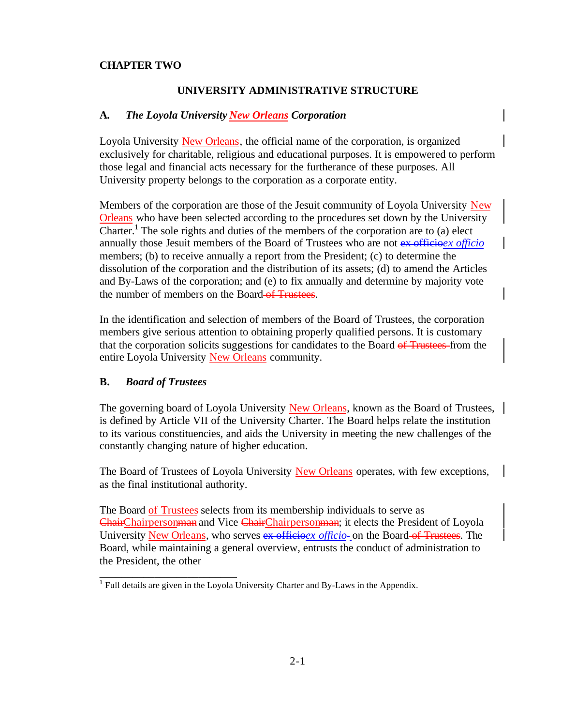## **CHAPTER TWO**

## **UNIVERSITY ADMINISTRATIVE STRUCTURE**

### **A.** *The Loyola University New Orleans Corporation*

Loyola University New Orleans, the official name of the corporation, is organized exclusively for charitable, religious and educational purposes. It is empowered to perform those legal and financial acts necessary for the furtherance of these purposes. All University property belongs to the corporation as a corporate entity.

Members of the corporation are those of the Jesuit community of Loyola University New Orleans who have been selected according to the procedures set down by the University Charter.<sup>1</sup> The sole rights and duties of the members of the corporation are to (a) elect annually those Jesuit members of the Board of Trustees who are not ex officio*ex officio* members; (b) to receive annually a report from the President; (c) to determine the dissolution of the corporation and the distribution of its assets; (d) to amend the Articles and By-Laws of the corporation; and (e) to fix annually and determine by majority vote the number of members on the Board of Trustees.

In the identification and selection of members of the Board of Trustees, the corporation members give serious attention to obtaining properly qualified persons. It is customary that the corporation solicits suggestions for candidates to the Board of Trustees-from the entire Loyola University New Orleans community.

#### **B.** *Board of Trustees*

\_\_\_\_\_\_\_\_\_\_\_\_\_\_\_\_\_\_\_\_\_\_\_\_\_

The governing board of Loyola University New Orleans, known as the Board of Trustees, is defined by Article VII of the University Charter. The Board helps relate the institution to its various constituencies, and aids the University in meeting the new challenges of the constantly changing nature of higher education.

The Board of Trustees of Loyola University New Orleans operates, with few exceptions, as the final institutional authority.

The Board of Trustees selects from its membership individuals to serve as ChairChairpersonman and Vice ChairChairpersonman; it elects the President of Loyola University New Orleans, who serves ex officioex *officio*- on the Board of Trustees. The Board, while maintaining a general overview, entrusts the conduct of administration to the President, the other

 $<sup>1</sup>$  Full details are given in the Loyola University Charter and By-Laws in the Appendix.</sup>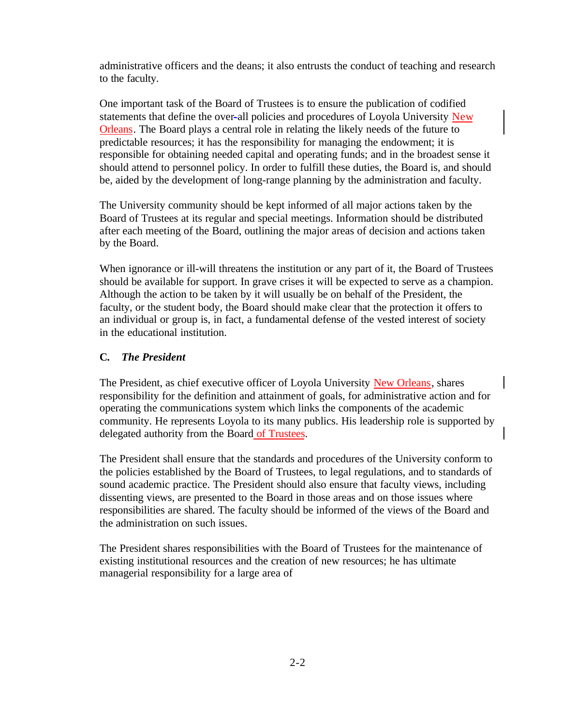administrative officers and the deans; it also entrusts the conduct of teaching and research to the faculty.

One important task of the Board of Trustees is to ensure the publication of codified statements that define the over-all policies and procedures of Loyola University New Orleans. The Board plays a central role in relating the likely needs of the future to predictable resources; it has the responsibility for managing the endowment; it is responsible for obtaining needed capital and operating funds; and in the broadest sense it should attend to personnel policy. In order to fulfill these duties, the Board is, and should be, aided by the development of long-range planning by the administration and faculty.

The University community should be kept informed of all major actions taken by the Board of Trustees at its regular and special meetings. Information should be distributed after each meeting of the Board, outlining the major areas of decision and actions taken by the Board.

When ignorance or ill-will threatens the institution or any part of it, the Board of Trustees should be available for support. In grave crises it will be expected to serve as a champion. Although the action to be taken by it will usually be on behalf of the President, the faculty, or the student body, the Board should make clear that the protection it offers to an individual or group is, in fact, a fundamental defense of the vested interest of society in the educational institution.

# **C.** *The President*

The President, as chief executive officer of Loyola University New Orleans, shares responsibility for the definition and attainment of goals, for administrative action and for operating the communications system which links the components of the academic community. He represents Loyola to its many publics. His leadership role is supported by delegated authority from the Board of Trustees.

The President shall ensure that the standards and procedures of the University conform to the policies established by the Board of Trustees, to legal regulations, and to standards of sound academic practice. The President should also ensure that faculty views, including dissenting views, are presented to the Board in those areas and on those issues where responsibilities are shared. The faculty should be informed of the views of the Board and the administration on such issues.

The President shares responsibilities with the Board of Trustees for the maintenance of existing institutional resources and the creation of new resources; he has ultimate managerial responsibility for a large area of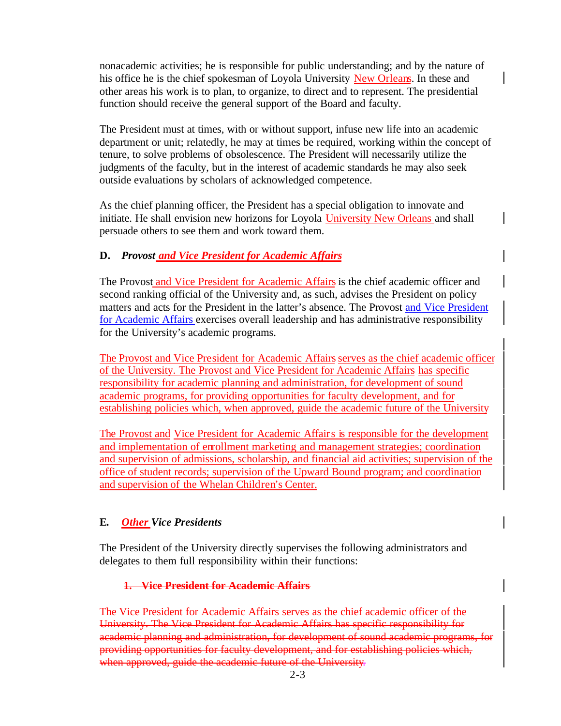nonacademic activities; he is responsible for public understanding; and by the nature of his office he is the chief spokesman of Loyola University New Orleans. In these and other areas his work is to plan, to organize, to direct and to represent. The presidential function should receive the general support of the Board and faculty.

The President must at times, with or without support, infuse new life into an academic department or unit; relatedly, he may at times be required, working within the concept of tenure, to solve problems of obsolescence. The President will necessarily utilize the judgments of the faculty, but in the interest of academic standards he may also seek outside evaluations by scholars of acknowledged competence.

As the chief planning officer, the President has a special obligation to innovate and initiate. He shall envision new horizons for Loyola University New Orleans and shall persuade others to see them and work toward them.

# **D.** *Provost and Vice President for Academic Affairs*

The Provost and Vice President for Academic Affairs is the chief academic officer and second ranking official of the University and, as such, advises the President on policy matters and acts for the President in the latter's absence. The Provost and Vice President for Academic Affairs exercises overall leadership and has administrative responsibility for the University's academic programs.

The Provost and Vice President for Academic Affairs serves as the chief academic officer of the University. The Provost and Vice President for Academic Affairs has specific responsibility for academic planning and administration, for development of sound academic programs, for providing opportunities for faculty development, and for establishing policies which, when approved, guide the academic future of the University

The Provost and Vice President for Academic Affairs is responsible for the development and implementation of enrollment marketing and management strategies; coordination and supervision of admissions, scholarship, and financial aid activities; supervision of the office of student records; supervision of the Upward Bound program; and coordination and supervision of the Whelan Children's Center.

# **E.** *Other Vice Presidents*

The President of the University directly supervises the following administrators and delegates to them full responsibility within their functions:

## **1. Vice President for Academic Affairs**

The Vice President for Academic Affairs serves as the chief academic officer of the University. The Vice President for Academic Affairs has specific responsibility for academic planning and administration, for development of sound academic programs, for providing opportunities for faculty development, and for establishing policies which, when approved, guide the academic future of the University.